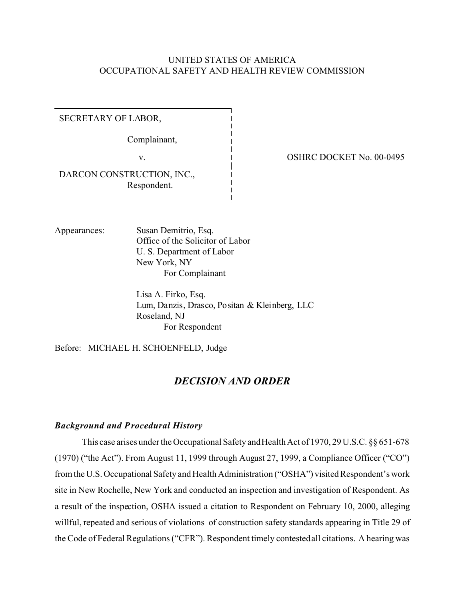### UNITED STATES OF AMERICA OCCUPATIONAL SAFETY AND HEALTH REVIEW COMMISSION

SECRETARY OF LABOR,

Complainant,

v.

OSHRC DOCKET No. 00-0495

DARCON CONSTRUCTION, INC., Respondent.

Appearances: Susan Demitrio, Esq. Office of the Solicitor of Labor U. S. Department of Labor New York, NY For Complainant

> Lisa A. Firko, Esq. Lum, Danzis, Drasco, Positan & Kleinberg, LLC Roseland, NJ For Respondent

Before: MICHAEL H. SCHOENFELD, Judge

# *DECISION AND ORDER*

#### *Background and Procedural History*

This case arises under the Occupational Safety and Health Act of 1970, 29 U.S.C. §§ 651-678 (1970) ("the Act"). From August 11, 1999 through August 27, 1999, a Compliance Officer ("CO") from the U.S. Occupational Safety and Health Administration ("OSHA") visited Respondent's work site in New Rochelle, New York and conducted an inspection and investigation of Respondent. As a result of the inspection, OSHA issued a citation to Respondent on February 10, 2000, alleging willful, repeated and serious of violations of construction safety standards appearing in Title 29 of the Code of Federal Regulations ("CFR"). Respondent timely contested all citations. A hearing was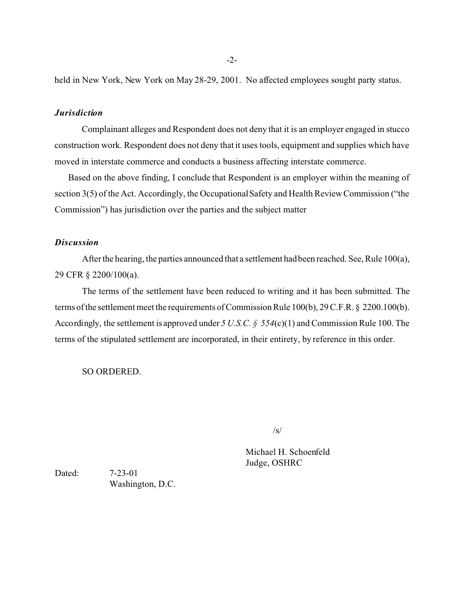held in New York, New York on May 28-29, 2001. No affected employees sought party status.

### *Jurisdiction*

Complainant alleges and Respondent does not deny that it is an employer engaged in stucco construction work. Respondent does not deny that it uses tools, equipment and supplies which have moved in interstate commerce and conducts a business affecting interstate commerce.

Based on the above finding, I conclude that Respondent is an employer within the meaning of section 3(5) of the Act. Accordingly, the Occupational Safety and Health Review Commission ("the Commission") has jurisdiction over the parties and the subject matter

### *Discussion*

After the hearing, the parties announced that a settlement had been reached. See, Rule 100(a), 29 CFR § 2200/100(a).

The terms of the settlement have been reduced to writing and it has been submitted. The terms of the settlement meet the requirements of Commission Rule 100(b), 29 C.F.R. § 2200.100(b). Accordingly, the settlement is approved under *5 U.S.C. § 554*(c)(1) and Commission Rule 100. The terms of the stipulated settlement are incorporated, in their entirety, by reference in this order.

SO ORDERED.

 $\sqrt{s}$ 

Michael H. Schoenfeld Judge, OSHRC

Dated: 7-23-01 Washington, D.C.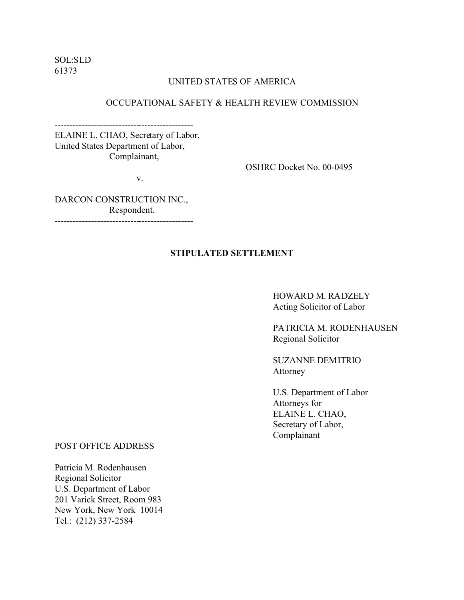SOL:SLD 61373

### UNITED STATES OF AMERICA

### OCCUPATIONAL SAFETY & HEALTH REVIEW COMMISSION

ELAINE L. CHAO, Secretary of Labor, United States Department of Labor, Complainant,

v.

----------------------------------------------

OSHRC Docket No. 00-0495

DARCON CONSTRUCTION INC., Respondent.

### ----------------------------------------------

### **STIPULATED SETTLEMENT**

HOWARD M. RADZELY Acting Solicitor of Labor

PATRICIA M. RODENHAUSEN Regional Solicitor

SUZANNE DEMITRIO Attorney

U.S. Department of Labor Attorneys for ELAINE L. CHAO, Secretary of Labor, Complainant

POST OFFICE ADDRESS

Patricia M. Rodenhausen Regional Solicitor U.S. Department of Labor 201 Varick Street, Room 983 New York, New York 10014 Tel.: (212) 337-2584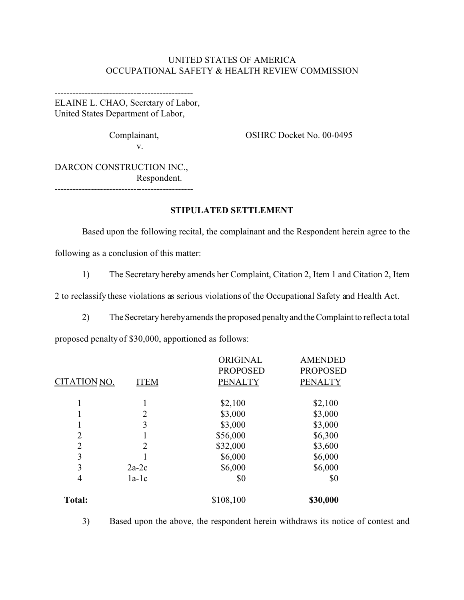## UNITED STATES OF AMERICA OCCUPATIONAL SAFETY & HEALTH REVIEW COMMISSION

---------------------------------------------- ELAINE L. CHAO, Secretary of Labor, United States Department of Labor,

v.

Complainant, Complainant, Complainant, Complainant, Complainant, Complainant, Complainant, Complaint, Complaint, Complaint, Complaint, Complaint, Complaint, Complaint, Complaint, Complaint, Complaint, Complaint, Complaint,

---------------------------------------------- DARCON CONSTRUCTION INC., Respondent.

### **STIPULATED SETTLEMENT**

Based upon the following recital, the complainant and the Respondent herein agree to the following as a conclusion of this matter:

1) The Secretary hereby amends her Complaint, Citation 2, Item 1 and Citation 2, Item

2 to reclassify these violations as serious violations of the Occupational Safety and Health Act.

2) The Secretary herebyamends the proposed penaltyand theComplaint to reflect a total

proposed penalty of \$30,000, apportioned as follows:

|                |                | ORIGINAL        | <b>AMENDED</b>  |
|----------------|----------------|-----------------|-----------------|
|                |                | <b>PROPOSED</b> | <b>PROPOSED</b> |
| CITATION NO.   | <b>ITEM</b>    | <b>PENALTY</b>  | <b>PENALTY</b>  |
| 1              | 1              | \$2,100         | \$2,100         |
|                | $\overline{2}$ | \$3,000         | \$3,000         |
|                | 3              | \$3,000         | \$3,000         |
| $\overline{2}$ | 1              | \$56,000        | \$6,300         |
| $\overline{2}$ | $\overline{2}$ | \$32,000        | \$3,600         |
| 3              |                | \$6,000         | \$6,000         |
| 3              | $2a-2c$        | \$6,000         | \$6,000         |
| 4              | $1a-1c$        | \$0             | \$0             |
| <b>Total:</b>  |                | \$108,100       | \$30,000        |
|                |                |                 |                 |

3) Based upon the above, the respondent herein withdraws its notice of contest and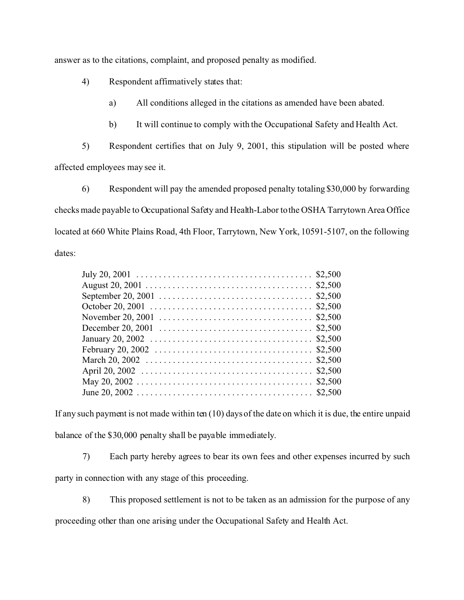answer as to the citations, complaint, and proposed penalty as modified.

4) Respondent affirmatively states that:

a) All conditions alleged in the citations as amended have been abated.

b) It will continue to comply with the Occupational Safety and Health Act.

5) Respondent certifies that on July 9, 2001, this stipulation will be posted where

affected employees may see it.

6) Respondent will pay the amended proposed penalty totaling \$30,000 by forwarding checks made payable to Occupational Safety and Health-Labor to the OSHA Tarrytown Area Office located at 660 White Plains Road, 4th Floor, Tarrytown, New York, 10591-5107, on the following dates:

If any such payment is not made within ten (10) days of the date on which it is due, the entire unpaid balance of the \$30,000 penalty shall be payable immediately.

7) Each party hereby agrees to bear its own fees and other expenses incurred by such

party in connection with any stage of this proceeding.

8) This proposed settlement is not to be taken as an admission for the purpose of any

proceeding other than one arising under the Occupational Safety and Health Act.